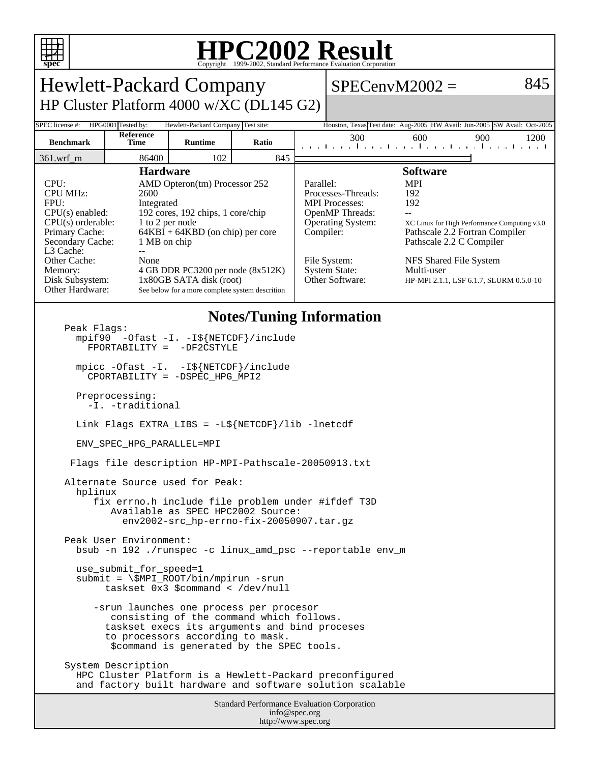

## **HPC2002 Result**

| <b>Hewlett-Packard Company</b>                                                                                                                                                                                                                                                                                                                                                                                                                                                                                            |                    |                                    |       |                                                                          | $SPECenvM2002 =$                                                                                                                                             |                                                                                                                                                                                                                                              |     | 845  |
|---------------------------------------------------------------------------------------------------------------------------------------------------------------------------------------------------------------------------------------------------------------------------------------------------------------------------------------------------------------------------------------------------------------------------------------------------------------------------------------------------------------------------|--------------------|------------------------------------|-------|--------------------------------------------------------------------------|--------------------------------------------------------------------------------------------------------------------------------------------------------------|----------------------------------------------------------------------------------------------------------------------------------------------------------------------------------------------------------------------------------------------|-----|------|
| HP Cluster Platform 4000 w/XC (DL145 G2)                                                                                                                                                                                                                                                                                                                                                                                                                                                                                  |                    |                                    |       |                                                                          |                                                                                                                                                              |                                                                                                                                                                                                                                              |     |      |
| SPEC license #:                                                                                                                                                                                                                                                                                                                                                                                                                                                                                                           | HPG0001 Tested by: | Hewlett-Packard Company Test site: |       | Houston, Texas Test date: Aug-2005 HW Avail: Jun-2005 SW Avail: Oct-2005 |                                                                                                                                                              |                                                                                                                                                                                                                                              |     |      |
| <b>Benchmark</b>                                                                                                                                                                                                                                                                                                                                                                                                                                                                                                          | Reference<br>Time  | <b>Runtime</b>                     | Ratio |                                                                          | 300<br>. . 1 1 1 1 1 1 1 .                                                                                                                                   | 600                                                                                                                                                                                                                                          | 900 | 1200 |
| 361.wrf_m                                                                                                                                                                                                                                                                                                                                                                                                                                                                                                                 | 86400              | 102                                | 845   |                                                                          |                                                                                                                                                              |                                                                                                                                                                                                                                              |     |      |
| <b>Hardware</b><br>CPU:<br>AMD Opteron(tm) Processor 252<br><b>CPU MHz:</b><br>2600<br>FPU:<br>Integrated<br>192 cores, 192 chips, 1 core/chip<br>$CPU(s)$ enabled:<br>$CPU(s)$ orderable:<br>1 to 2 per node<br>$64KBI + 64KBD$ (on chip) per core<br>Primary Cache:<br>Secondary Cache:<br>1 MB on chip<br>L3 Cache:<br>$-$<br>Other Cache:<br>None<br>4 GB DDR PC3200 per node (8x512K)<br>Memory:<br>Disk Subsystem:<br>1x80GB SATA disk (root)<br>Other Hardware:<br>See below for a more complete system descrition |                    |                                    |       | Parallel:<br>Compiler:                                                   | Processes-Threads:<br><b>MPI</b> Processes:<br><b>OpenMP</b> Threads:<br><b>Operating System:</b><br>File System:<br><b>System State:</b><br>Other Software: | <b>Software</b><br><b>MPI</b><br>192<br>192<br>XC Linux for High Performance Computing v3.0<br>Pathscale 2.2 Fortran Compiler<br>Pathscale 2.2 C Compiler<br>NFS Shared File System<br>Multi-user<br>HP-MPI 2.1.1, LSF 6.1.7, SLURM 0.5.0-10 |     |      |
| <b>Notes/Tuning Information</b><br>Peak Flags:<br>mpif90 -Ofast -I. -I\${NETCDF}/include<br>$FPORTABILITY = -DF2CSTYLE$<br>mpicc -Ofast -I. -I\${NETCDF}/include<br>CPORTABILITY = -DSPEC_HPG_MPI2                                                                                                                                                                                                                                                                                                                        |                    |                                    |       |                                                                          |                                                                                                                                                              |                                                                                                                                                                                                                                              |     |      |
| Preprocessing:<br>-I. -traditional                                                                                                                                                                                                                                                                                                                                                                                                                                                                                        |                    |                                    |       |                                                                          |                                                                                                                                                              |                                                                                                                                                                                                                                              |     |      |
| Link Flags EXTRA_LIBS = $-L\$ {NETCDF}/lib -lnetcdf                                                                                                                                                                                                                                                                                                                                                                                                                                                                       |                    |                                    |       |                                                                          |                                                                                                                                                              |                                                                                                                                                                                                                                              |     |      |
| ENV_SPEC_HPG_PARALLEL=MPI                                                                                                                                                                                                                                                                                                                                                                                                                                                                                                 |                    |                                    |       |                                                                          |                                                                                                                                                              |                                                                                                                                                                                                                                              |     |      |
| Flags file description HP-MPI-Pathscale-20050913.txt                                                                                                                                                                                                                                                                                                                                                                                                                                                                      |                    |                                    |       |                                                                          |                                                                                                                                                              |                                                                                                                                                                                                                                              |     |      |
| Alternate Source used for Peak:<br>hplinux<br>fix errno.h include file problem under #ifdef T3D<br>Available as SPEC HPC2002 Source:<br>env2002-src hp-errno-fix-20050907.tar.qz                                                                                                                                                                                                                                                                                                                                          |                    |                                    |       |                                                                          |                                                                                                                                                              |                                                                                                                                                                                                                                              |     |      |
| Peak User Environment:<br>bsub -n 192./runspec -c linux_amd_psc --reportable env_m                                                                                                                                                                                                                                                                                                                                                                                                                                        |                    |                                    |       |                                                                          |                                                                                                                                                              |                                                                                                                                                                                                                                              |     |      |
| use_submit_for_speed=1<br>$submit = \SMPI_ROOT/bin/mpirun -srun$<br>taskset $0x3$ \$command < /dev/null                                                                                                                                                                                                                                                                                                                                                                                                                   |                    |                                    |       |                                                                          |                                                                                                                                                              |                                                                                                                                                                                                                                              |     |      |
| -srun launches one process per procesor<br>consisting of the command which follows.<br>taskset execs its arguments and bind proceses<br>to processors according to mask.<br>\$command is generated by the SPEC tools.                                                                                                                                                                                                                                                                                                     |                    |                                    |       |                                                                          |                                                                                                                                                              |                                                                                                                                                                                                                                              |     |      |
| System Description<br>HPC Cluster Platform is a Hewlett-Packard preconfigured<br>and factory built hardware and software solution scalable                                                                                                                                                                                                                                                                                                                                                                                |                    |                                    |       |                                                                          |                                                                                                                                                              |                                                                                                                                                                                                                                              |     |      |
| <b>Standard Performance Evaluation Corporation</b><br>info@spec.org                                                                                                                                                                                                                                                                                                                                                                                                                                                       |                    |                                    |       |                                                                          |                                                                                                                                                              |                                                                                                                                                                                                                                              |     |      |

http://www.spec.org